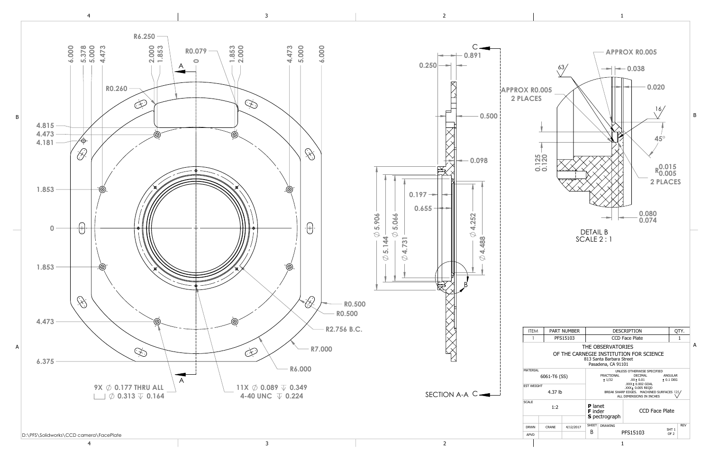

4 3 2 1